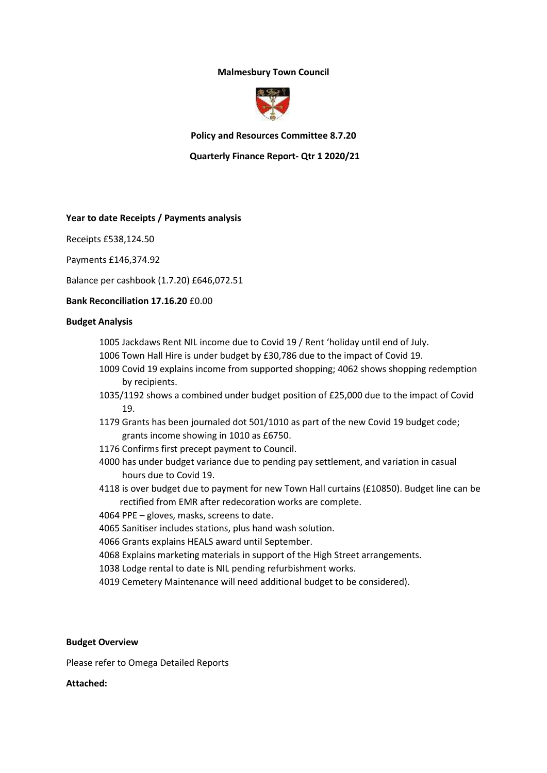# **Malmesbury Town Council**



**Policy and Resources Committee 8.7.20**

 **Quarterly Finance Report- Qtr 1 2020/21**

## **Year to date Receipts / Payments analysis**

Receipts £538,124.50

Payments £146,374.92

Balance per cashbook (1.7.20) £646,072.51

## **Bank Reconciliation 17.16.20** £0.00

#### **Budget Analysis**

- 1005 Jackdaws Rent NIL income due to Covid 19 / Rent 'holiday until end of July.
- 1006 Town Hall Hire is under budget by £30,786 due to the impact of Covid 19.
- 1009 Covid 19 explains income from supported shopping; 4062 shows shopping redemption by recipients.
- 1035/1192 shows a combined under budget position of £25,000 due to the impact of Covid 19.
- 1179 Grants has been journaled dot 501/1010 as part of the new Covid 19 budget code; grants income showing in 1010 as £6750.
- 1176 Confirms first precept payment to Council.
- 4000 has under budget variance due to pending pay settlement, and variation in casual hours due to Covid 19.
- 4118 is over budget due to payment for new Town Hall curtains (£10850). Budget line can be rectified from EMR after redecoration works are complete.
- 4064 PPE gloves, masks, screens to date.
- 4065 Sanitiser includes stations, plus hand wash solution.
- 4066 Grants explains HEALS award until September.
- 4068 Explains marketing materials in support of the High Street arrangements.
- 1038 Lodge rental to date is NIL pending refurbishment works.
- 4019 Cemetery Maintenance will need additional budget to be considered).

## **Budget Overview**

Please refer to Omega Detailed Reports

# **Attached:**